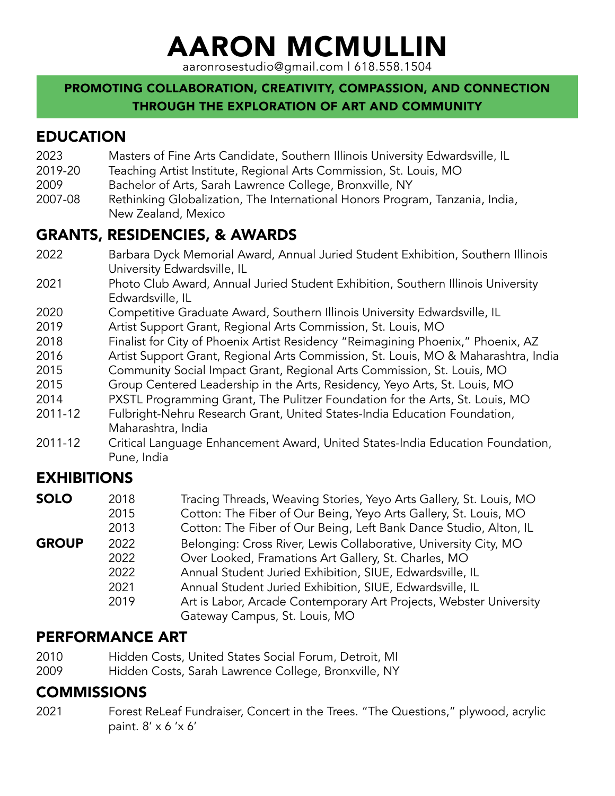# AARON MCMULLIN

aaronrosestudio@gmail.com | 618.558.1504

### PROMOTING COLLABORATION, CREATIVITY, COMPASSION, AND CONNECTION THROUGH THE EXPLORATION OF ART AND COMMUNITY

# EDUCATION

- 2023 Masters of Fine Arts Candidate, Southern Illinois University Edwardsville, IL
- 2019-20 Teaching Artist Institute, Regional Arts Commission, St. Louis, MO
- 2009 Bachelor of Arts, Sarah Lawrence College, Bronxville, NY
- 2007-08 Rethinking Globalization, The International Honors Program, Tanzania, India, New Zealand, Mexico

# GRANTS, RESIDENCIES, & AWARDS

- 2022 Barbara Dyck Memorial Award, Annual Juried Student Exhibition, Southern Illinois University Edwardsville, IL
- 2021 Photo Club Award, Annual Juried Student Exhibition, Southern Illinois University Edwardsville, IL
- 2020 Competitive Graduate Award, Southern Illinois University Edwardsville, IL
- 2019 Artist Support Grant, Regional Arts Commission, St. Louis, MO
- 2018 Finalist for City of Phoenix Artist Residency "Reimagining Phoenix," Phoenix, AZ
- 2016 Artist Support Grant, Regional Arts Commission, St. Louis, MO & Maharashtra, India
- 2015 Community Social Impact Grant, Regional Arts Commission, St. Louis, MO
- 2015 Group Centered Leadership in the Arts, Residency, Yeyo Arts, St. Louis, MO
- 2014 PXSTL Programming Grant, The Pulitzer Foundation for the Arts, St. Louis, MO
- 2011-12 Fulbright-Nehru Research Grant, United States-India Education Foundation, Maharashtra, India
- 2011-12 Critical Language Enhancement Award, United States-India Education Foundation, Pune, India

# EXHIBITIONS

| SOLO         | 2018 | Tracing Threads, Weaving Stories, Yeyo Arts Gallery, St. Louis, MO |
|--------------|------|--------------------------------------------------------------------|
|              | 2015 | Cotton: The Fiber of Our Being, Yeyo Arts Gallery, St. Louis, MO   |
|              | 2013 | Cotton: The Fiber of Our Being, Left Bank Dance Studio, Alton, IL  |
| <b>GROUP</b> | 2022 | Belonging: Cross River, Lewis Collaborative, University City, MO   |
|              | 2022 | Over Looked, Framations Art Gallery, St. Charles, MO               |
|              | 2022 | Annual Student Juried Exhibition, SIUE, Edwardsville, IL           |
|              | 2021 | Annual Student Juried Exhibition, SIUE, Edwardsville, IL           |
|              | 2019 | Art is Labor, Arcade Contemporary Art Projects, Webster University |
|              |      | Gateway Campus, St. Louis, MO                                      |

# PERFORMANCE ART

- 2010 Hidden Costs, United States Social Forum, Detroit, MI
- 2009 Hidden Costs, Sarah Lawrence College, Bronxville, NY

# **COMMISSIONS**

2021 Forest ReLeaf Fundraiser, Concert in the Trees. "The Questions," plywood, acrylic paint. 8' x 6 'x 6'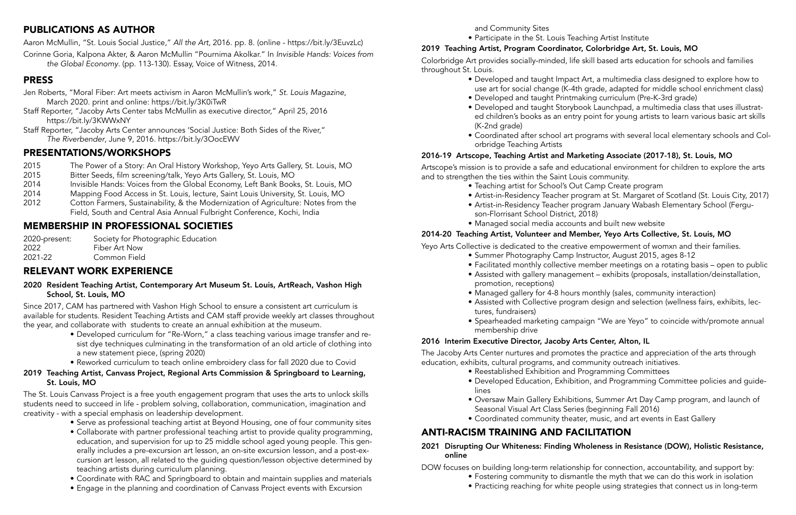# PUBLICATIONS AS AUTHOR

Aaron McMullin, "St. Louis Social Justice," *All the Art*, 2016. pp. 8. (online - https://bit.ly/3EuvzLc)

Corinne Goria, Kalpona Akter, & Aaron McMullin "Pournima Akolkar." In *Invisible Hands: Voices from the Global Economy*. (pp. 113-130). Essay, Voice of Witness, 2014.

# PRESS

- Jen Roberts, "Moral Fiber: Art meets activism in Aaron McMullin's work," *St. Louis Magazine*, March 2020. print and online: https://bit.ly/3K0iTwR
- Staff Reporter, "Jacoby Arts Center tabs McMullin as executive director," April 25, 2016 https://bit.ly/3KWWxNY
- Staff Reporter, "Jacoby Arts Center announces 'Social Justice: Both Sides of the River," *The Riverbender*, June 9, 2016. https://bit.ly/3OocEWV

# PRESENTATIONS/WORKSHOPS

- 2015 The Power of a Story: An Oral History Workshop, Yeyo Arts Gallery, St. Louis, MO
- 2015 Bitter Seeds, film screening/talk, Yeyo Arts Gallery, St. Louis, MO
- 2014 Invisible Hands: Voices from the Global Economy, Left Bank Books, St. Louis, MO
- 2014 Mapping Food Access in St. Louis, lecture, Saint Louis University, St. Louis, MO
- 2012 Cotton Farmers, Sustainability, & the Modernization of Agriculture: Notes from the Field, South and Central Asia Annual Fulbright Conference, Kochi, India

# MEMBERSHIP IN PROFESSIONAL SOCIETIES

| 2020-present: | Society for Photographic Education |
|---------------|------------------------------------|
| 2022          | Fiber Art Now                      |
| 2021-22       | Common Field                       |

# RELEVANT WORK EXPERIENCE

#### 2020 Resident Teaching Artist, Contemporary Art Museum St. Louis, ArtReach, Vashon High School, St. Louis, MO

Since 2017, CAM has partnered with Vashon High School to ensure a consistent art curriculum is available for students. Resident Teaching Artists and CAM staff provide weekly art classes throughout the year, and collaborate with students to create an annual exhibition at the museum.

- Developed curriculum for "Re-Worn," a class teaching various image transfer and resist dye techniques culminating in the transformation of an old article of clothing into a new statement piece, (spring 2020)
- Reworked curriculum to teach online embroidery class for fall 2020 due to Covid

#### 2019 Teaching Artist, Canvass Project, Regional Arts Commission & Springboard to Learning, St. Louis, MO

The St. Louis Canvass Project is a free youth engagement program that uses the arts to unlock skills students need to succeed in life - problem solving, collaboration, communication, imagination and creativity - with a special emphasis on leadership development.

- Serve as professional teaching artist at Beyond Housing, one of four community sites
- Collaborate with partner professional teaching artist to provide quality programming, education, and supervision for up to 25 middle school aged young people. This generally includes a pre-excursion art lesson, an on-site excursion lesson, and a post-excursion art lesson, all related to the guiding question/lesson objective determined by teaching artists during curriculum planning.
- Coordinate with RAC and Springboard to obtain and maintain supplies and materials
- Engage in the planning and coordination of Canvass Project events with Excursion

and Community Sites

• Participate in the St. Louis Teaching Artist Institute

# 2019 Teaching Artist, Program Coordinator, Colorbridge Art, St. Louis, MO

Colorbridge Art provides socially-minded, life skill based arts education for schools and families throughout St. Louis.

> • Developed and taught Impact Art, a multimedia class designed to explore how to use art for social change (K-4th grade, adapted for middle school enrichment class) • Developed and taught Printmaking curriculum (Pre-K-3rd grade)

> • Developed and taught Storybook Launchpad, a multimedia class that uses illustrated children's books as an entry point for young artists to learn various basic art skills

• Coordinated after school art programs with several local elementary schools and Col-

- 
- 
- (K-2nd grade)
- orbridge Teaching Artists

#### 2016-19 Artscope, Teaching Artist and Marketing Associate (2017-18), St. Louis, MO

Artscope's mission is to provide a safe and educational environment for children to explore the arts and to strengthen the ties within the Saint Louis community.

- Teaching artist for School's Out Camp Create program
- 
- Artist-in-Residency Teacher program at St. Margaret of Scotland (St. Louis City, 2017) • Artist-in-Residency Teacher program January Wabash Elementary School (Ferguson-Florrisant School District, 2018)
- Managed social media accounts and built new website

## 2014-20 Teaching Artist, Volunteer and Member, Yeyo Arts Collective, St. Louis, MO

Yeyo Arts Collective is dedicated to the creative empowerment of womxn and their families.

- Summer Photography Camp Instructor, August 2015, ages 8-12
- Facilitated monthly collective member meetings on a rotating basis open to public • Assisted with gallery management – exhibits (proposals, installation/deinstallation,
- promotion, receptions)
- 
- Assisted with Collective program design and selection (wellness fairs, exhibits, lectures, fundraisers)
- membership drive

• Managed gallery for 4-8 hours monthly (sales, community interaction)

• Spearheaded marketing campaign "We are Yeyo" to coincide with/promote annual

#### 2016 Interim Executive Director, Jacoby Arts Center, Alton, IL

The Jacoby Arts Center nurtures and promotes the practice and appreciation of the arts through

education, exhibits, cultural programs, and community outreach initiatives.

- Reestablished Exhibition and Programming Committees
- Developed Education, Exhibition, and Programming Committee policies and guidelines
- Seasonal Visual Art Class Series (beginning Fall 2016)
- 

• Oversaw Main Gallery Exhibitions, Summer Art Day Camp program, and launch of

• Coordinated community theater, music, and art events in East Gallery

# ANTI-RACISM TRAINING AND FACILITATION

#### 2021 Disrupting Our Whiteness: Finding Wholeness in Resistance (DOW), Holistic Resistance, online

DOW focuses on building long-term relationship for connection, accountability, and support by: • Fostering community to dismantle the myth that we can do this work in isolation • Practicing reaching for white people using strategies that connect us in long-term

- 
-